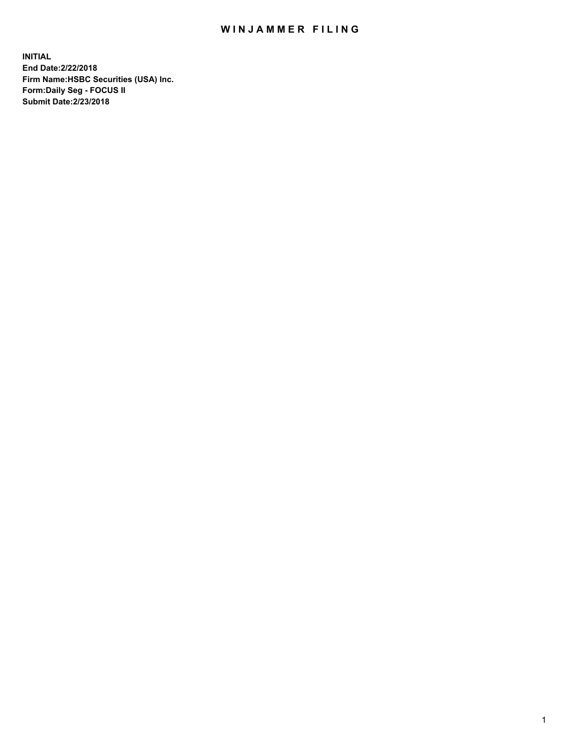## WIN JAMMER FILING

**INITIAL End Date:2/22/2018 Firm Name:HSBC Securities (USA) Inc. Form:Daily Seg - FOCUS II Submit Date:2/23/2018**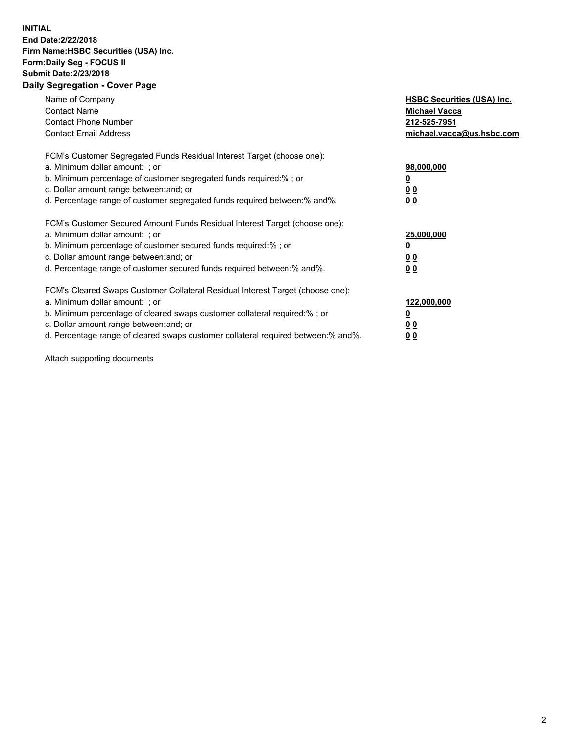## **INITIAL End Date:2/22/2018 Firm Name:HSBC Securities (USA) Inc. Form:Daily Seg - FOCUS II Submit Date:2/23/2018 Daily Segregation - Cover Page**

| Name of Company<br><b>Contact Name</b><br><b>Contact Phone Number</b><br><b>Contact Email Address</b>                                                                                                                                                                                                                         | <b>HSBC Securities (USA) Inc.</b><br><b>Michael Vacca</b><br>212-525-7951<br>michael.vacca@us.hsbc.com |
|-------------------------------------------------------------------------------------------------------------------------------------------------------------------------------------------------------------------------------------------------------------------------------------------------------------------------------|--------------------------------------------------------------------------------------------------------|
| FCM's Customer Segregated Funds Residual Interest Target (choose one):<br>a. Minimum dollar amount: ; or<br>b. Minimum percentage of customer segregated funds required:%; or<br>c. Dollar amount range between: and; or<br>d. Percentage range of customer segregated funds required between: % and %.                       | 98,000,000<br><u>0</u><br><u>00</u><br><u>00</u>                                                       |
| FCM's Customer Secured Amount Funds Residual Interest Target (choose one):<br>a. Minimum dollar amount: ; or<br>b. Minimum percentage of customer secured funds required:%; or<br>c. Dollar amount range between: and; or<br>d. Percentage range of customer secured funds required between: % and %.                         | 25,000,000<br><u>0</u><br><u>00</u><br>00                                                              |
| FCM's Cleared Swaps Customer Collateral Residual Interest Target (choose one):<br>a. Minimum dollar amount: ; or<br>b. Minimum percentage of cleared swaps customer collateral required:%; or<br>c. Dollar amount range between: and; or<br>d. Percentage range of cleared swaps customer collateral required between:% and%. | 122,000,000<br><u>0</u><br><u>00</u><br><u>00</u>                                                      |

Attach supporting documents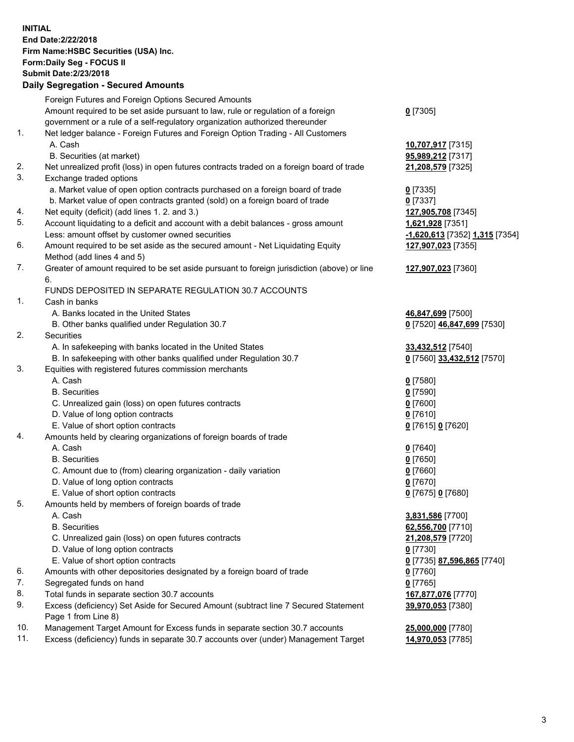**INITIAL End Date:2/22/2018 Firm Name:HSBC Securities (USA) Inc. Form:Daily Seg - FOCUS II Submit Date:2/23/2018 Daily Segregation - Secured Amounts**

Foreign Futures and Foreign Options Secured Amounts Amount required to be set aside pursuant to law, rule or regulation of a foreign government or a rule of a self-regulatory organization authorized thereunder **0** [7305] 1. Net ledger balance - Foreign Futures and Foreign Option Trading - All Customers A. Cash **10,707,917** [7315] B. Securities (at market) **95,989,212** [7317] 2. Net unrealized profit (loss) in open futures contracts traded on a foreign board of trade **21,208,579** [7325] 3. Exchange traded options a. Market value of open option contracts purchased on a foreign board of trade **0** [7335] b. Market value of open contracts granted (sold) on a foreign board of trade **0** [7337] 4. Net equity (deficit) (add lines 1. 2. and 3.) **127,905,708** [7345] 5. Account liquidating to a deficit and account with a debit balances - gross amount **1,621,928** [7351] Less: amount offset by customer owned securities **-1,620,613** [7352] **1,315** [7354] 6. Amount required to be set aside as the secured amount - Net Liquidating Equity Method (add lines 4 and 5) **127,907,023** [7355] 7. Greater of amount required to be set aside pursuant to foreign jurisdiction (above) or line 6. **127,907,023** [7360] FUNDS DEPOSITED IN SEPARATE REGULATION 30.7 ACCOUNTS 1. Cash in banks A. Banks located in the United States **46,847,699** [7500] B. Other banks qualified under Regulation 30.7 **0** [7520] **46,847,699** [7530] 2. Securities A. In safekeeping with banks located in the United States **33,432,512** [7540] B. In safekeeping with other banks qualified under Regulation 30.7 **0** [7560] **33,432,512** [7570] 3. Equities with registered futures commission merchants A. Cash **0** [7580] B. Securities **0** [7590] C. Unrealized gain (loss) on open futures contracts **0** [7600] D. Value of long option contracts **0** [7610] E. Value of short option contracts **0** [7615] **0** [7620] 4. Amounts held by clearing organizations of foreign boards of trade A. Cash **0** [7640] B. Securities **0** [7650] C. Amount due to (from) clearing organization - daily variation **0** [7660] D. Value of long option contracts **0** [7670] E. Value of short option contracts **0** [7675] **0** [7680] 5. Amounts held by members of foreign boards of trade A. Cash **3,831,586** [7700] B. Securities **62,556,700** [7710] C. Unrealized gain (loss) on open futures contracts **21,208,579** [7720] D. Value of long option contracts **0** [7730] E. Value of short option contracts **0** [7735] **87,596,865** [7740] 6. Amounts with other depositories designated by a foreign board of trade **0** [7760] 7. Segregated funds on hand **0** [7765] 8. Total funds in separate section 30.7 accounts **167,877,076** [7770] 9. Excess (deficiency) Set Aside for Secured Amount (subtract line 7 Secured Statement Page 1 from Line 8) **39,970,053** [7380] 10. Management Target Amount for Excess funds in separate section 30.7 accounts **25,000,000** [7780] 11. Excess (deficiency) funds in separate 30.7 accounts over (under) Management Target **14,970,053** [7785]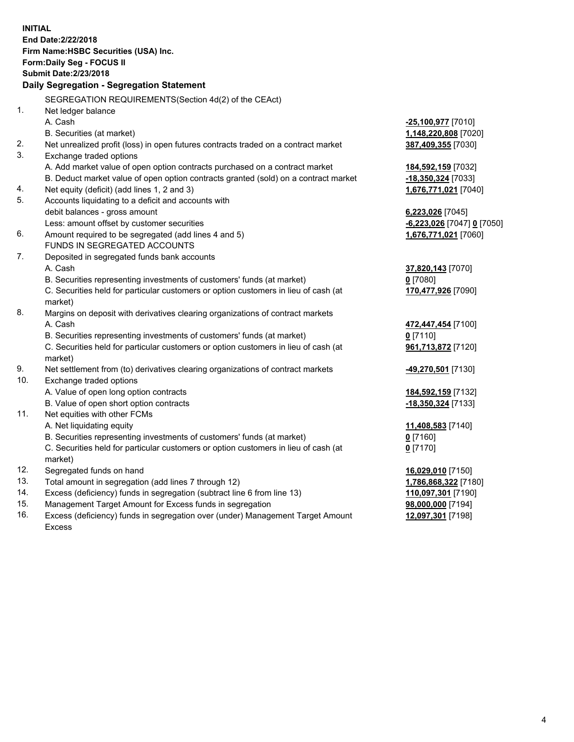| <b>INITIAL</b> | End Date: 2/22/2018<br>Firm Name: HSBC Securities (USA) Inc.<br>Form: Daily Seg - FOCUS II<br><b>Submit Date: 2/23/2018</b><br><b>Daily Segregation - Segregation Statement</b> |                                           |
|----------------|---------------------------------------------------------------------------------------------------------------------------------------------------------------------------------|-------------------------------------------|
|                | SEGREGATION REQUIREMENTS(Section 4d(2) of the CEAct)                                                                                                                            |                                           |
| 1.             | Net ledger balance                                                                                                                                                              |                                           |
|                | A. Cash                                                                                                                                                                         | -25,100,977 [7010]                        |
|                | B. Securities (at market)                                                                                                                                                       | 1,148,220,808 [7020]                      |
| 2.             | Net unrealized profit (loss) in open futures contracts traded on a contract market                                                                                              | 387,409,355 [7030]                        |
| 3.             | Exchange traded options                                                                                                                                                         |                                           |
|                | A. Add market value of open option contracts purchased on a contract market                                                                                                     | 184,592,159 [7032]                        |
|                | B. Deduct market value of open option contracts granted (sold) on a contract market                                                                                             | -18,350,324 [7033]                        |
| 4.             | Net equity (deficit) (add lines 1, 2 and 3)                                                                                                                                     | 1,676,771,021 [7040]                      |
| 5.             | Accounts liquidating to a deficit and accounts with                                                                                                                             |                                           |
|                | debit balances - gross amount                                                                                                                                                   | 6,223,026 [7045]                          |
|                | Less: amount offset by customer securities                                                                                                                                      | -6,223,026 [7047] 0 [7050]                |
| 6.             | Amount required to be segregated (add lines 4 and 5)                                                                                                                            | 1,676,771,021 [7060]                      |
|                | FUNDS IN SEGREGATED ACCOUNTS                                                                                                                                                    |                                           |
| 7.             | Deposited in segregated funds bank accounts                                                                                                                                     |                                           |
|                | A. Cash                                                                                                                                                                         | 37,820,143 [7070]                         |
|                | B. Securities representing investments of customers' funds (at market)                                                                                                          | $0$ [7080]                                |
|                | C. Securities held for particular customers or option customers in lieu of cash (at<br>market)                                                                                  | 170,477,926 [7090]                        |
| 8.             | Margins on deposit with derivatives clearing organizations of contract markets                                                                                                  |                                           |
|                | A. Cash                                                                                                                                                                         | 472,447,454 [7100]                        |
|                | B. Securities representing investments of customers' funds (at market)                                                                                                          | $0$ [7110]                                |
|                | C. Securities held for particular customers or option customers in lieu of cash (at<br>market)                                                                                  | 961,713,872 [7120]                        |
| 9.             | Net settlement from (to) derivatives clearing organizations of contract markets                                                                                                 | 49,270,501 [7130]                         |
| 10.            | Exchange traded options                                                                                                                                                         |                                           |
|                | A. Value of open long option contracts                                                                                                                                          | 184,592,159 [7132]                        |
|                | B. Value of open short option contracts                                                                                                                                         | -18,350,324 [7133]                        |
| 11.            | Net equities with other FCMs                                                                                                                                                    |                                           |
|                | A. Net liquidating equity                                                                                                                                                       | 11,408,583 [7140]                         |
|                | B. Securities representing investments of customers' funds (at market)                                                                                                          | $0$ [7160]                                |
|                | C. Securities held for particular customers or option customers in lieu of cash (at                                                                                             | <u>0</u> [7170]                           |
| 12.            | market)                                                                                                                                                                         |                                           |
| 13.            | Segregated funds on hand<br>Total amount in segregation (add lines 7 through 12)                                                                                                | 16,029,010 [7150]<br>1,786,868,322 [7180] |
| 14.            | Excess (deficiency) funds in segregation (subtract line 6 from line 13)                                                                                                         | 110,097,301 [7190]                        |
| 15.            | Management Target Amount for Excess funds in segregation                                                                                                                        | 98,000,000 [7194]                         |
|                |                                                                                                                                                                                 |                                           |

16. Excess (deficiency) funds in segregation over (under) Management Target Amount Excess

**12,097,301** [7198]